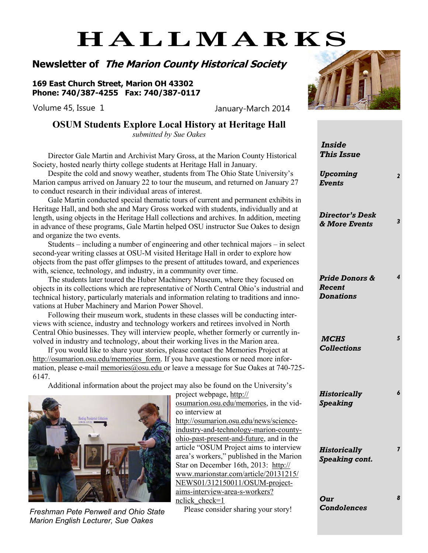# **HALLMARKS**

### **Newsletter of The Marion County Historical Society**

**169 East Church Street, Marion OH 43302 Phone: 740/387-4255 Fax: 740/387-0117**

Volume 45, Issue 1 January-March 2014

### **OSUM Students Explore Local History at Heritage Hall**

*submitted by Sue Oakes*

Director Gale Martin and Archivist Mary Gross, at the Marion County Historical Society, hosted nearly thirty college students at Heritage Hall in January.

Despite the cold and snowy weather, students from The Ohio State University's Marion campus arrived on January 22 to tour the museum, and returned on January 27 to conduct research in their individual areas of interest.

Gale Martin conducted special thematic tours of current and permanent exhibits in Heritage Hall, and both she and Mary Gross worked with students, individually and at length, using objects in the Heritage Hall collections and archives. In addition, meeting in advance of these programs, Gale Martin helped OSU instructor Sue Oakes to design and organize the two events.

Students – including a number of engineering and other technical majors – in select second-year writing classes at OSU-M visited Heritage Hall in order to explore how objects from the past offer glimpses to the present of attitudes toward, and experiences with, science, technology, and industry, in a community over time.

The students later toured the Huber Machinery Museum, where they focused on objects in its collections which are representative of North Central Ohio's industrial and technical history, particularly materials and information relating to traditions and innovations at Huber Machinery and Marion Power Shovel.

Following their museum work, students in these classes will be conducting interviews with science, industry and technology workers and retirees involved in North Central Ohio businesses. They will interview people, whether formerly or currently involved in industry and technology, about their working lives in the Marion area.

If you would like to share your stories, please contact the Memories Project at http://osumarion.osu.edu/memories form. If you have questions or need more information, please e-mail memories@osu.edu or leave a message for Sue Oakes at 740-725-6147.

Additional information about the project may also be found on the University's



*Marion English Lecturer, Sue Oakes*

project webpage, http:// osumarion.osu.edu/memories, in the video interview at http://osumarion.osu.edu/news/scienceindustry-and-technology-marion-countyohio-past-present-and-future, and in the article "OSUM Project aims to interview area's workers," published in the Marion Star on December 16th, 2013: http:// www.marionstar.com/article/20131215/ NEWS01/312150011/OSUM-projectaims-interview-area-s-workers? nclick check=1

Please consider sharing your story!



|   | <b>Inside</b><br><b>This Issue</b>           |   |
|---|----------------------------------------------|---|
|   | <b>Upcoming</b><br><b>Events</b>             | 2 |
| t | <b>Director's Desk</b><br>& More Events      | 3 |
|   | Pride Donors &<br>Recent<br><b>Donations</b> | 4 |
|   | <b>MCHS</b><br><b>Collections</b>            | 5 |
|   | <b>Historically</b><br><b>Speaking</b>       | 6 |
|   | <b>Historically</b><br>Speaking cont.        | 7 |
|   | Our<br><b>Condolences</b>                    | 8 |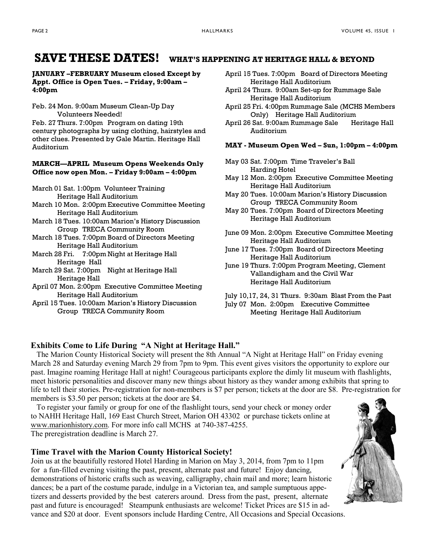### **SAVE THESE DATES! WHAT'S HAPPENING AT HERITAGE HALL & BEYOND**

#### **JANUARY –FEBRUARY Museum closed Except by Appt. Office is Open Tues. – Friday, 9:00am – 4:00pm**

Feb. 24 Mon. 9:00am Museum Clean-Up Day Volunteers Needed!

Feb. 27 Thurs. 7:00pm Program on dating 19th century photographs by using clothing, hairstyles and other clues. Presented by Gale Martin. Heritage Hall Auditorium

#### **MARCH—APRIL Museum Opens Weekends Only Office now open Mon. – Friday 9:00am – 4:00pm**

March 01 Sat. 1:00pm Volunteer Training Heritage Hall Auditorium

- March 10 Mon. 2:00pm Executive Committee Meeting Heritage Hall Auditorium
- March 18 Tues. 10:00am Marion's History Discussion Group TRECA Community Room
- March 18 Tues. 7:00pm Board of Directors Meeting Heritage Hall Auditorium
- March 28 Fri. 7:00pm Night at Heritage Hall Heritage Hall
- March 29 Sat. 7:00pm Night at Heritage Hall Heritage Hall
- April 07 Mon. 2:00pm Executive Committee Meeting Heritage Hall Auditorium
- April 15 Tues. 10:00am Marion's History Discussion Group TRECA Community Room
- April 15 Tues. 7:00pm Board of Directors Meeting Heritage Hall Auditorium
- April 24 Thurs. 9:00am Set-up for Rummage Sale Heritage Hall Auditorium
- April 25 Fri. 4:00pm Rummage Sale (MCHS Members Only) Heritage Hall Auditorium
- April 26 Sat. 9:00am Rummage Sale Heritage Hall Auditorium

#### **MAY - Museum Open Wed – Sun, 1:00pm – 4:00pm**

- May 03 Sat. 7:00pm Time Traveler's Ball Harding Hotel
- May 12 Mon. 2:00pm Executive Committee Meeting Heritage Hall Auditorium
- May 20 Tues. 10:00am Marion's History Discussion Group TRECA Community Room
- May 20 Tues. 7:00pm Board of Directors Meeting Heritage Hall Auditorium
- June 09 Mon. 2:00pm Executive Committee Meeting Heritage Hall Auditorium
- June 17 Tues. 7:00pm Board of Directors Meeting Heritage Hall Auditorium
- June 19 Thurs. 7:00pm Program Meeting, Clement Vallandigham and the Civil War Heritage Hall Auditorium
- July 10,17, 24, 31 Thurs. 9:30am Blast From the Past July 07 Mon. 2:00pm Executive Committee Meeting Heritage Hall Auditorium

### **Exhibits Come to Life During "A Night at Heritage Hall."**

 The Marion County Historical Society will present the 8th Annual "A Night at Heritage Hall" on Friday evening March 28 and Saturday evening March 29 from 7pm to 9pm. This event gives visitors the opportunity to explore our past. Imagine roaming Heritage Hall at night! Courageous participants explore the dimly lit museum with flashlights, meet historic personalities and discover many new things about history as they wander among exhibits that spring to life to tell their stories. Pre-registration for non-members is \$7 per person; tickets at the door are \$8. Pre-registration for members is \$3.50 per person; tickets at the door are \$4.

 To register your family or group for one of the flashlight tours, send your check or money order to NAHH Heritage Hall, 169 East Church Street, Marion OH 43302 or purchase tickets online at www.marionhistory.com. For more info call MCHS at 740-387-4255. The preregistration deadline is March 27.

#### **Time Travel with the Marion County Historical Society!**

Join us at the beautifully restored Hotel Harding in Marion on May 3, 2014, from 7pm to 11pm for a fun-filled evening visiting the past, present, alternate past and future! Enjoy dancing, demonstrations of historic crafts such as weaving, calligraphy, chain mail and more; learn historic dances; be a part of the costume parade, indulge in a Victorian tea, and sample sumptuous appetizers and desserts provided by the best caterers around. Dress from the past, present, alternate past and future is encouraged! Steampunk enthusiasts are welcome! Ticket Prices are \$15 in advance and \$20 at door. Event sponsors include Harding Centre, All Occasions and Special Occasions.

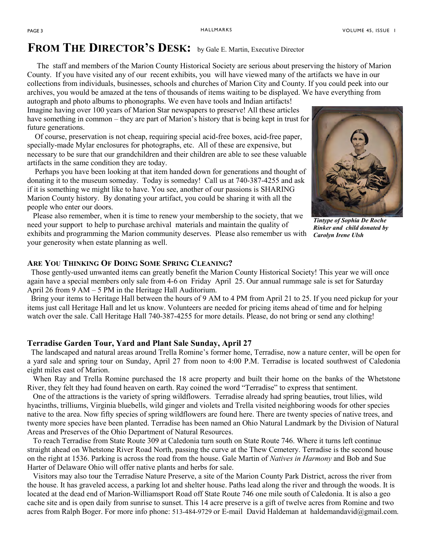### **FROM THE DIRECTOR'S DESK:** by Gale E. Martin, Executive Director

The staff and members of the Marion County Historical Society are serious about preserving the history of Marion County. If you have visited any of our recent exhibits, you will have viewed many of the artifacts we have in our collections from individuals, businesses, schools and churches of Marion City and County. If you could peek into our archives, you would be amazed at the tens of thousands of items waiting to be displayed. We have everything from

autograph and photo albums to phonographs. We even have tools and Indian artifacts! Imagine having over 100 years of Marion Star newspapers to preserve! All these articles have something in common – they are part of Marion's history that is being kept in trust for future generations.

 Of course, preservation is not cheap, requiring special acid-free boxes, acid-free paper, specially-made Mylar enclosures for photographs, etc. All of these are expensive, but necessary to be sure that our grandchildren and their children are able to see these valuable artifacts in the same condition they are today.

donating it to the museum someday. Today is someday! Call us at 740-387-4255 and ask Perhaps you have been looking at that item handed down for generations and thought of if it is something we might like to have. You see, another of our passions is SHARING Marion County history. By donating your artifact, you could be sharing it with all the people who enter our doors.

 Please also remember, when it is time to renew your membership to the society, that we need your support to help to purchase archival materials and maintain the quality of exhibits and programming the Marion community deserves. Please also remember us with your generosity when estate planning as well.

*Tintype of Sophia De Roche Rinker and child donated by Carolyn Irene Ulsh*

#### **ARE YOU THINKING OF DOING SOME SPRING CLEANING?**

 Those gently-used unwanted items can greatly benefit the Marion County Historical Society! This year we will once again have a special members only sale from 4-6 on Friday April 25. Our annual rummage sale is set for Saturday April 26 from 9 AM – 5 PM in the Heritage Hall Auditorium.

 Bring your items to Heritage Hall between the hours of 9 AM to 4 PM from April 21 to 25. If you need pickup for your items just call Heritage Hall and let us know. Volunteers are needed for pricing items ahead of time and for helping watch over the sale. Call Heritage Hall 740-387-4255 for more details. Please, do not bring or send any clothing!

#### **Terradise Garden Tour, Yard and Plant Sale Sunday, April 27**

 The landscaped and natural areas around Trella Romine's former home, Terradise, now a nature center, will be open for a yard sale and spring tour on Sunday, April 27 from noon to 4:00 P.M. Terradise is located southwest of Caledonia eight miles east of Marion.

 When Ray and Trella Romine purchased the 18 acre property and built their home on the banks of the Whetstone River, they felt they had found heaven on earth. Ray coined the word "Terradise" to express that sentiment.

 One of the attractions is the variety of spring wildflowers. Terradise already had spring beauties, trout lilies, wild hyacinths, trilliums, Virginia bluebells, wild ginger and violets and Trella visited neighboring woods for other species native to the area. Now fifty species of spring wildflowers are found here. There are twenty species of native trees, and twenty more species have been planted. Terradise has been named an Ohio Natural Landmark by the Division of Natural Areas and Preserves of the Ohio Department of Natural Resources.

 To reach Terradise from State Route 309 at Caledonia turn south on State Route 746. Where it turns left continue straight ahead on Whetstone River Road North, passing the curve at the Thew Cemetery. Terradise is the second house on the right at 1536. Parking is across the road from the house. Gale Martin of *Natives in Harmony* and Bob and Sue Harter of Delaware Ohio will offer native plants and herbs for sale.

 Visitors may also tour the Terradise Nature Preserve, a site of the Marion County Park District, across the river from the house. It has graveled access, a parking lot and shelter house. Paths lead along the river and through the woods. It is located at the dead end of Marion-Williamsport Road off State Route 746 one mile south of Caledonia. It is also a geo cache site and is open daily from sunrise to sunset. This 14 acre preserve is a gift of twelve acres from Romine and two acres from Ralph Boger. For more info phone: 513-484-9729 or E-mail David Haldeman at haldemandavid@gmail.com.

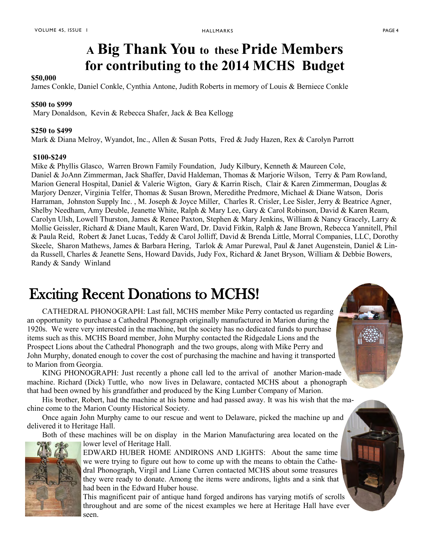## **A Big Thank You to these Pride Members for contributing to the 2014 MCHS Budget**

#### **\$50,000**

James Conkle, Daniel Conkle, Cynthia Antone, Judith Roberts in memory of Louis & Berniece Conkle

#### **\$500 to \$999**

Mary Donaldson, Kevin & Rebecca Shafer, Jack & Bea Kellogg

#### **\$250 to \$499**

Mark & Diana Melroy, Wyandot, Inc., Allen & Susan Potts, Fred & Judy Hazen, Rex & Carolyn Parrott

#### **\$100-\$249**

Mike & Phyllis Glasco, Warren Brown Family Foundation, Judy Kilbury, Kenneth & Maureen Cole, Daniel & JoAnn Zimmerman, Jack Shaffer, David Haldeman, Thomas & Marjorie Wilson, Terry & Pam Rowland, Marion General Hospital, Daniel & Valerie Wigton, Gary & Karrin Risch, Clair & Karen Zimmerman, Douglas & Marjory Denzer, Virginia Telfer, Thomas & Susan Brown, Meredithe Predmore, Michael & Diane Watson, Doris Harraman, Johnston Supply Inc. , M. Joseph & Joyce Miller, Charles R. Crisler, Lee Sisler, Jerry & Beatrice Agner, Shelby Needham, Amy Deuble, Jeanette White, Ralph & Mary Lee, Gary & Carol Robinson, David & Karen Ream, Carolyn Ulsh, Lowell Thurston, James & Renee Paxton, Stephen & Mary Jenkins, William & Nancy Gracely, Larry & Mollie Geissler, Richard & Diane Mault, Karen Ward, Dr. David Fitkin, Ralph & Jane Brown, Rebecca Yannitell, Phil & Paula Reid, Robert & Janet Lucas, Teddy & Carol Jolliff, David & Brenda Little, Morral Companies, LLC, Dorothy Skeele, Sharon Mathews, James & Barbara Hering, Tarlok & Amar Purewal, Paul & Janet Augenstein, Daniel & Linda Russell, Charles & Jeanette Sens, Howard Davids, Judy Fox, Richard & Janet Bryson, William & Debbie Bowers, Randy & Sandy Winland

## Exciting Recent Donations to MCHS!

CATHEDRAL PHONOGRAPH: Last fall, MCHS member Mike Perry contacted us regarding an opportunity to purchase a Cathedral Phonograph originally manufactured in Marion during the 1920s. We were very interested in the machine, but the society has no dedicated funds to purchase items such as this. MCHS Board member, John Murphy contacted the Ridgedale Lions and the Prospect Lions about the Cathedral Phonograph and the two groups, along with Mike Perry and John Murphy, donated enough to cover the cost of purchasing the machine and having it transported to Marion from Georgia.

KING PHONOGRAPH: Just recently a phone call led to the arrival of another Marion-made machine. Richard (Dick) Tuttle, who now lives in Delaware, contacted MCHS about a phonograph that had been owned by his grandfather and produced by the King Lumber Company of Marion.

His brother, Robert, had the machine at his home and had passed away. It was his wish that the machine come to the Marion County Historical Society.

Once again John Murphy came to our rescue and went to Delaware, picked the machine up and delivered it to Heritage Hall.

Both of these machines will be on display in the Marion Manufacturing area located on the lower level of Heritage Hall.



EDWARD HUBER HOME ANDIRONS AND LIGHTS: About the same time we were trying to figure out how to come up with the means to obtain the Cathedral Phonograph, Virgil and Liane Curren contacted MCHS about some treasures they were ready to donate. Among the items were andirons, lights and a sink that had been in the Edward Huber house.

This magnificent pair of antique hand forged andirons has varying motifs of scrolls throughout and are some of the nicest examples we here at Heritage Hall have ever seen.

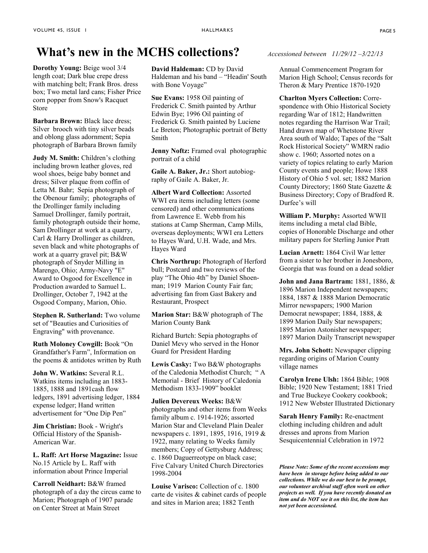### **What's new in the MCHS collections?** *Accessioned between 11/29/12 –3/22/13*

**Dorothy Young:** Beige wool 3/4 length coat; Dark blue crepe dress with matching belt; Frank Bros. dress box; Two metal lard cans; Fisher Price corn popper from Snow's Racquet Store

**Barbara Brown: Black lace dress:** Silver brooch with tiny silver beads and oblong glass adornment; Sepia photograph of Barbara Brown family

**Judy M. Smith:** Children's clothing including brown leather gloves, red wool shoes, beige baby bonnet and dress; Silver plaque from coffin of Letta M. Bahr; Sepia photograph of the Obenour family; photographs of the Drollinger family including Samuel Drollinger, family portrait, family photograph outside their home, Sam Drollinger at work at a quarry, Carl & Harry Drollinger as children, seven black and white photographs of work at a quarry gravel pit; B&W photograph of Snyder Milling in Marengo, Ohio; Army-Navy "E" Award to Osgood for Excellence in Production awarded to Samuel L. Drollinger, October 7, 1942 at the Osgood Company, Marion, Ohio.

**Stephen R. Sutherland:** Two volume set of "Beauties and Curiosities of Engraving" with provenance.

**Ruth Moloney Cowgill:** Book "On Grandfather's Farm", Information on the poems & antidotes written by Ruth

**John W. Watkins:** Several R.L. Watkins items including an 1883- 1885, 1888 and 1891cash flow ledgers, 1891 advertising ledger, 1884 expense ledger; Hand written advertisement for "One Dip Pen"

**Jim Christian:** Book - Wright's Official History of the Spanish-American War.

**L. Raff: Art Horse Magazine:** Issue No.15 Article by L. Raff with information about Prince Imperial

**Carroll Neidhart:** B&W framed photograph of a day the circus came to Marion; Photograph of 1907 parade on Center Street at Main Street

**David Haldeman:** CD by David Haldeman and his band – "Headin' South with Bone Voyage"

**Sue Evans:** 1958 Oil painting of Frederick C. Smith painted by Arthur Edwin Bye; 1996 Oil painting of Frederick G. Smith painted by Luciene Le Breton; Photographic portrait of Betty Smith

**Jenny Noftz:** Framed oval photographic portrait of a child

**Gaile A. Baker, Jr.:** Short autobiography of Gaile A. Baker, Jr.

**Albert Ward Collection:** Assorted WWI era items including letters (some censored) and other communications from Lawrence E. Webb from his stations at Camp Sherman, Camp Mills, overseas deployments; WWI era Letters to Hayes Ward, U.H. Wade, and Mrs. Hayes Ward

**Chris Northrup:** Photograph of Herford bull; Postcard and two reviews of the play "The Ohio 4th" by Daniel Shoenman; 1919 Marion County Fair fan; advertising fan from Gast Bakery and Restaurant, Prospect

**Marion Star:** B&W photograph of The Marion County Bank

Richard Burtch: Sepia photographs of Daniel Mevy who served in the Honor Guard for President Harding

**Lewis Casky:** Two B&W photographs of the Caledonia Methodist Church; " A Memorial - Brief History of Caledonia Methodism 1833-1909" booklet

**Julien Devereux Weeks:** B&W photographs and other items from Weeks family album c. 1914-1926; assorted Marion Star and Cleveland Plain Dealer newspapers c. 1891, 1895, 1916, 1919 & 1922, many relating to Weeks family members; Copy of Gettysburg Address; c. 1860 Daguerreotype on black case; Five Calvary United Church Directories 1998-2004

**Louise Varisco:** Collection of c. 1800 carte de visites & cabinet cards of people and sites in Marion area; 1882 Tenth

Annual Commencement Program for Marion High School; Census records for Theron & Mary Prentice 1870-1920

**Charlton Myers Collection:** Correspondence with Ohio Historical Society regarding War of 1812; Handwritten notes regarding the Harrison War Trail; Hand drawn map of Whetstone River Area south of Waldo; Tapes of the "Salt Rock Historical Society" WMRN radio show c. 1960; Assorted notes on a variety of topics relating to early Marion County events and people; Howe 1888 History of Ohio 5 vol. set; 1882 Marion County Directory; 1860 State Gazette & Business Directory; Copy of Bradford R. Durfee's will

**William P. Murphy:** Assorted WWII items including a metal clad Bible, copies of Honorable Discharge and other military papers for Sterling Junior Pratt

**Lucian Arnett:** 1864 Civil War letter from a sister to her brother in Jonesboro, Georgia that was found on a dead soldier

**John and Jana Bartram:** 1881, 1886, & 1896 Marion Independent newspapers; 1884, 1887 & 1888 Marion Democratic Mirror newspapers; 1900 Marion Democrat newspaper; 1884, 1888, & 1899 Marion Daily Star newspapers; 1895 Marion Astonisher newspaper; 1897 Marion Daily Transcript newspaper

**Mrs. John Schott:** Newspaper clipping regarding origins of Marion County village names

**Carolyn Irene Ulsh:** 1864 Bible; 1908 Bible; 1920 New Testament; 1881 Tried and True Buckeye Cookery cookbook; 1912 New Webster Illustrated Dictionary

**Sarah Henry Family:** Re-enactment clothing including children and adult dresses and aprons from Marion Sesquicentennial Celebration in 1972

*Please Note: Some of the recent accessions may have been in storage before being added to our collections. While we do our best to be prompt, our volunteer archival staff often work on other projects as well. If you have recently donated an item and do NOT see it on this list, the item has not yet been accessioned.*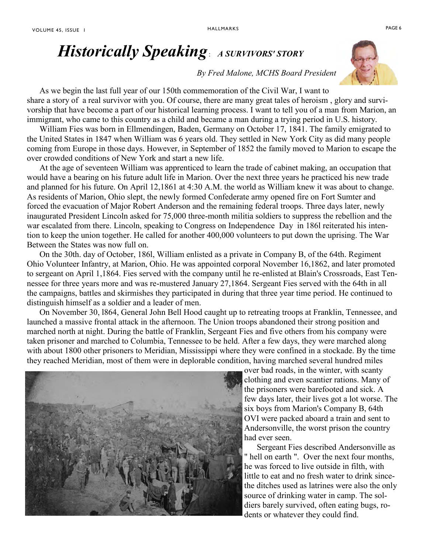### *By Fred Malone, MCHS Board President*

As we begin the last full year of our 150th commemoration of the Civil War, I want to share a story of a real survivor with you. Of course, there are many great tales of heroism , glory and survivorship that have become a part of our historical learning process. I want to tell you of a man from Marion, an immigrant, who came to this country as a child and became a man during a trying period in U.S. history.

 William Fies was born in Ellmendingen, Baden, Germany on October 17, 1841. The family emigrated to the United States in 1847 when William was 6 years old. They settled in New York City as did many people coming from Europe in those days. However, in September of 1852 the family moved to Marion to escape the over crowded conditions of New York and start a new life.

 At the age of seventeen William was apprenticed to learn the trade of cabinet making, an occupation that would have a bearing on his future adult life in Marion. Over the next three years he practiced his new trade and planned for his future. On April 12,1861 at 4:30 A.M. the world as William knew it was about to change. As residents of Marion, Ohio slept, the newly formed Confederate army opened fire on Fort Sumter and forced the evacuation of Major Robert Anderson and the remaining federal troops. Three days later, newly inaugurated President Lincoln asked for 75,000 three-month militia soldiers to suppress the rebellion and the war escalated from there. Lincoln, speaking to Congress on Independence Day in 186l reiterated his intention to keep the union together. He called for another 400,000 volunteers to put down the uprising. The War Between the States was now full on.

 On the 30th. day of October, 186l, William enlisted as a private in Company B, of the 64th. Regiment Ohio Volunteer Infantry, at Marion, Ohio. He was appointed corporal November 16,1862, and later promoted to sergeant on April 1,1864. Fies served with the company until he re-enlisted at Blain's Crossroads, East Tennessee for three years more and was re-mustered January 27,1864. Sergeant Fies served with the 64th in all the campaigns, battles and skirmishes they participated in during that three year time period. He continued to distinguish himself as a soldier and a leader of men.

 On November 30, l864, General John Bell Hood caught up to retreating troops at Franklin, Tennessee, and launched a massive frontal attack in the afternoon. The Union troops abandoned their strong position and marched north at night. During the battle of Franklin, Sergeant Fies and five others from his company were taken prisoner and marched to Columbia, Tennessee to be held. After a few days, they were marched along with about 1800 other prisoners to Meridian, Mississippi where they were confined in a stockade. By the time they reached Meridian, most of them were in deplorable condition, having marched several hundred miles



over bad roads, in the winter, with scanty clothing and even scantier rations. Many of the prisoners were barefooted and sick. A few days later, their lives got a lot worse. The six boys from Marion's Company B, 64th OVI were packed aboard a train and sent to Andersonville, the worst prison the country had ever seen.

 Sergeant Fies described Andersonville as " hell on earth ". Over the next four months, he was forced to live outside in filth, with little to eat and no fresh water to drink sincethe ditches used as latrines were also the only source of drinking water in camp. The soldiers barely survived, often eating bugs, rodents or whatever they could find.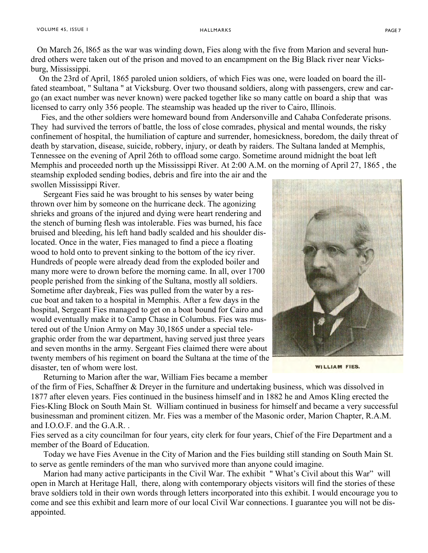On March 26, l865 as the war was winding down, Fies along with the five from Marion and several hundred others were taken out of the prison and moved to an encampment on the Big Black river near Vicksburg, Mississippi.

 On the 23rd of April, 1865 paroled union soldiers, of which Fies was one, were loaded on board the illfated steamboat, " Sultana " at Vicksburg. Over two thousand soldiers, along with passengers, crew and cargo (an exact number was never known) were packed together like so many cattle on board a ship that was licensed to carry only 356 people. The steamship was headed up the river to Cairo, Illinois.

 Fies, and the other soldiers were homeward bound from Andersonville and Cahaba Confederate prisons. They had survived the terrors of battle, the loss of close comrades, physical and mental wounds, the risky confinement of hospital, the humiliation of capture and surrender, homesickness, boredom, the daily threat of death by starvation, disease, suicide, robbery, injury, or death by raiders. The Sultana landed at Memphis, Tennessee on the evening of April 26th to offload some cargo. Sometime around midnight the boat left Memphis and proceeded north up the Mississippi River. At 2:00 A.M. on the morning of April 27, 1865 , the steamship exploded sending bodies, debris and fire into the air and the swollen Mississippi River.

 Sergeant Fies said he was brought to his senses by water being thrown over him by someone on the hurricane deck. The agonizing shrieks and groans of the injured and dying were heart rendering and the stench of burning flesh was intolerable. Fies was burned, his face bruised and bleeding, his left hand badly scalded and his shoulder dislocated. Once in the water, Fies managed to find a piece a floating wood to hold onto to prevent sinking to the bottom of the icy river. Hundreds of people were already dead from the exploded boiler and many more were to drown before the morning came. In all, over 1700 people perished from the sinking of the Sultana, mostly all soldiers. Sometime after daybreak, Fies was pulled from the water by a rescue boat and taken to a hospital in Memphis. After a few days in the hospital, Sergeant Fies managed to get on a boat bound for Cairo and would eventually make it to Camp Chase in Columbus. Fies was mustered out of the Union Army on May 30,1865 under a special telegraphic order from the war department, having served just three years and seven months in the army. Sergeant Fies claimed there were about twenty members of his regiment on board the Sultana at the time of the disaster, ten of whom were lost.



**WILLIAM FIES.** 

 Returning to Marion after the war, William Fies became a member of the firm of Fies, Schaffner & Dreyer in the furniture and undertaking business, which was dissolved in 1877 after eleven years. Fies continued in the business himself and in 1882 he and Amos Kling erected the Fies-Kling Block on South Main St. William continued in business for himself and became a very successful businessman and prominent citizen. Mr. Fies was a member of the Masonic order, Marion Chapter, R.A.M. and I.O.O.F. and the G.A.R. .

Fies served as a city councilman for four years, city clerk for four years, Chief of the Fire Department and a member of the Board of Education.

 Today we have Fies Avenue in the City of Marion and the Fies building still standing on South Main St. to serve as gentle reminders of the man who survived more than anyone could imagine.

 Marion had many active participants in the Civil War. The exhibit " What's Civil about this War" will open in March at Heritage Hall, there, along with contemporary objects visitors will find the stories of these brave soldiers told in their own words through letters incorporated into this exhibit. I would encourage you to come and see this exhibit and learn more of our local Civil War connections. I guarantee you will not be disappointed.